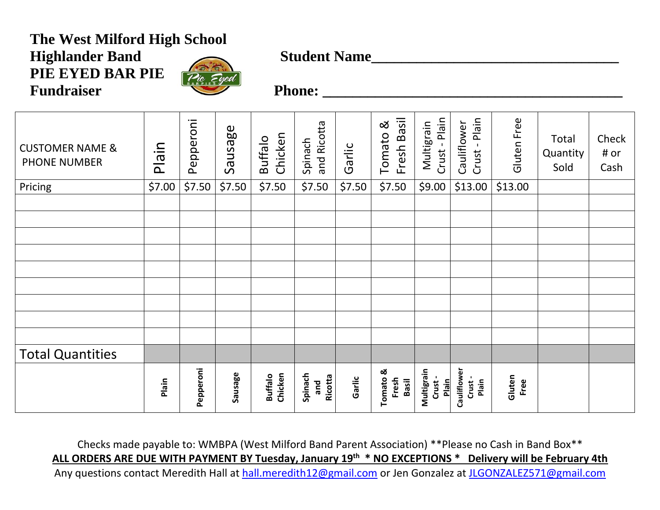# **The West Milford High School**  Highlander Band Student Name **PIE EYED BAR PIE** Fundraiser Phone: 2008 Phone: 2008 Phone: 2008 Phone: 2008 Phone: 2008 Phone: 2008 Phone: 2008 Phone: 2008 Phone: 2008 Phone: 2008 Phone: 2008 Phone: 2008 Phone: 2008 Phone: 2008 Phone: 2008 Phone: 2008 Phone: 2008 Phone:



| <b>CUSTOMER NAME &amp;</b><br><b>PHONE NUMBER</b> | Plain  | Pepperoni | Sausage | Chicken<br><b>Buffalo</b> | and Ricotta<br>Spinach    | Garlic | Fresh Basil<br>ಡ<br>Tomato | Crust - Plain<br>Multigrain   | Plain<br>Cauliflower<br>Crust- | Gluten Free    | <b>Total</b><br>Quantity<br>Sold | Check<br># or<br>Cash |
|---------------------------------------------------|--------|-----------|---------|---------------------------|---------------------------|--------|----------------------------|-------------------------------|--------------------------------|----------------|----------------------------------|-----------------------|
| Pricing                                           | \$7.00 | \$7.50    | \$7.50  | \$7.50                    | \$7.50                    | \$7.50 | \$7.50                     | \$9.00                        | \$13.00                        | \$13.00        |                                  |                       |
|                                                   |        |           |         |                           |                           |        |                            |                               |                                |                |                                  |                       |
|                                                   |        |           |         |                           |                           |        |                            |                               |                                |                |                                  |                       |
|                                                   |        |           |         |                           |                           |        |                            |                               |                                |                |                                  |                       |
|                                                   |        |           |         |                           |                           |        |                            |                               |                                |                |                                  |                       |
|                                                   |        |           |         |                           |                           |        |                            |                               |                                |                |                                  |                       |
|                                                   |        |           |         |                           |                           |        |                            |                               |                                |                |                                  |                       |
|                                                   |        |           |         |                           |                           |        |                            |                               |                                |                |                                  |                       |
|                                                   |        |           |         |                           |                           |        |                            |                               |                                |                |                                  |                       |
|                                                   |        |           |         |                           |                           |        |                            |                               |                                |                |                                  |                       |
| <b>Total Quantities</b>                           |        |           |         |                           |                           |        |                            |                               |                                |                |                                  |                       |
|                                                   | Plain  | Pepperoni | Sausage | Chicken<br><b>Buffalo</b> | Spinach<br>Ricotta<br>and | Garlic | Tomato &<br>Fresh<br>Basil | Multigrain<br>Crust-<br>Plain | Cauliflower<br>Crust-<br>Plain | Gluten<br>Free |                                  |                       |

Checks made payable to: WMBPA (West Milford Band Parent Association) \*\*Please no Cash in Band Box\*\* **ALL ORDERS ARE DUE WITH PAYMENT BY Tuesday, January 19th \* NO EXCEPTIONS \* Delivery will be February 4th** Any questions contact Meredith Hall at [hall.meredith12@gmail.com](mailto:hall.meredith12@gmail.com) or Jen Gonzalez at [JLGONZALEZ571@gmail.com](mailto:JLGONZALEZ571@gmail.com)